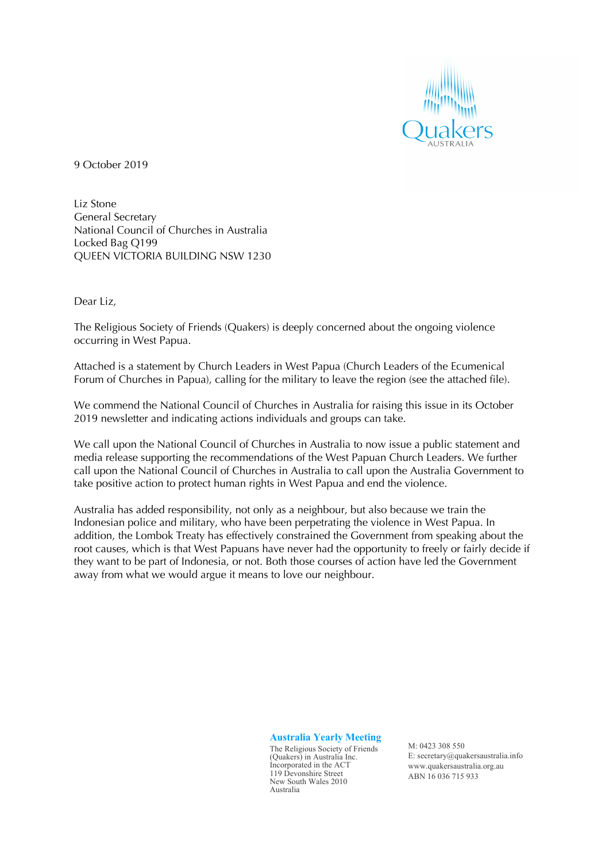

9 October 2019

Liz Stone General Secretary National Council of Churches in Australia Locked Bag Q199 QUEEN VICTORIA BUILDING NSW 1230

Dear Liz,

The Religious Society of Friends (Quakers) is deeply concerned about the ongoing violence occurring in West Papua.

Attached is a statement by Church Leaders in West Papua (Church Leaders of the Ecumenical Forum of Churches in Papua), calling for the military to leave the region (see the attached file).

We commend the National Council of Churches in Australia for raising this issue in its October 2019 newsletter and indicating actions individuals and groups can take.

We call upon the National Council of Churches in Australia to now issue a public statement and media release supporting the recommendations of the West Papuan Church Leaders. We further call upon the National Council of Churches in Australia to call upon the Australia Government to take positive action to protect human rights in West Papua and end the violence.

Australia has added responsibility, not only as a neighbour, but also because we train the Indonesian police and military, who have been perpetrating the violence in West Papua. In addition, the Lombok Treaty has effectively constrained the Government from speaking about the root causes, which is that West Papuans have never had the opportunity to freely or fairly decide if they want to be part of Indonesia, or not. Both those courses of action have led the Government away from what we would argue it means to love our neighbour.

**Australia Yearly Meeting**

The Religious Society of Friends (Quakers) in Australia Inc. Incorporated in the ACT 119 Devonshire Street New South Wales 2010 Australia

M: 0423 308 550 E: secretary@quakersaustralia.info www.quakersaustralia.org.au ABN 16 036 715 933